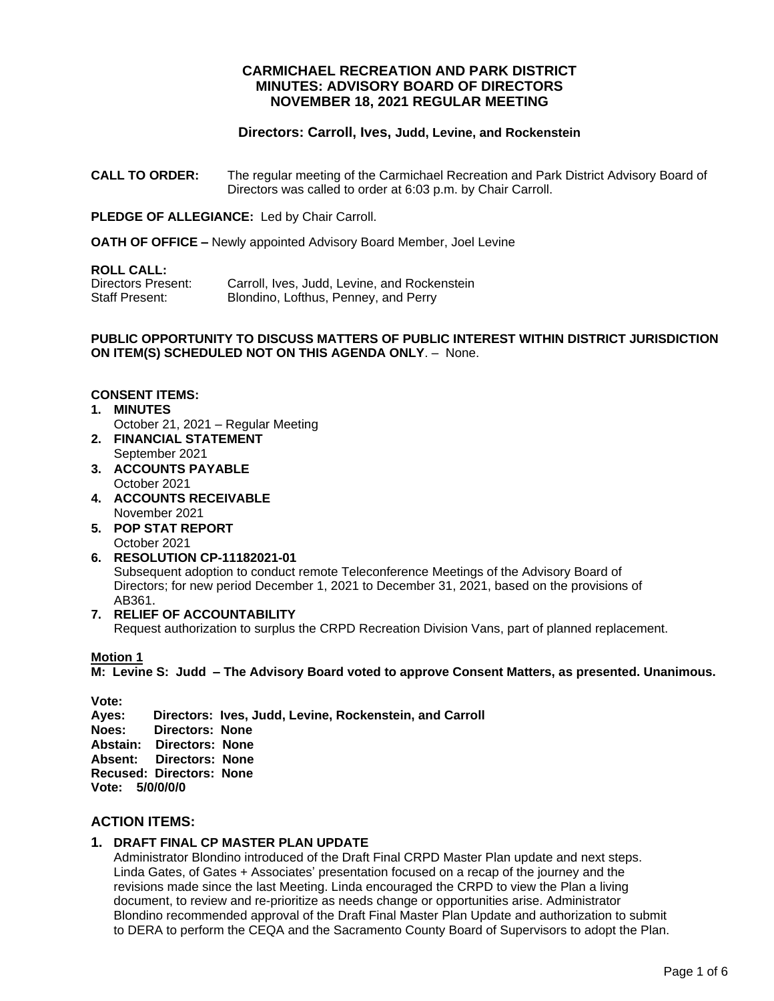## **CARMICHAEL RECREATION AND PARK DISTRICT MINUTES: ADVISORY BOARD OF DIRECTORS NOVEMBER 18, 2021 REGULAR MEETING**

# **Directors: Carroll, Ives, Judd, Levine, and Rockenstein**

**CALL TO ORDER:** The regular meeting of the Carmichael Recreation and Park District Advisory Board of Directors was called to order at 6:03 p.m. by Chair Carroll.

**PLEDGE OF ALLEGIANCE:** Led by Chair Carroll.

**OATH OF OFFICE –** Newly appointed Advisory Board Member, Joel Levine

#### **ROLL CALL:**

| Directors Present: | Carroll, Ives, Judd, Levine, and Rockenstein |
|--------------------|----------------------------------------------|
| Staff Present:     | Blondino, Lofthus, Penney, and Perry         |

#### **PUBLIC OPPORTUNITY TO DISCUSS MATTERS OF PUBLIC INTEREST WITHIN DISTRICT JURISDICTION ON ITEM(S) SCHEDULED NOT ON THIS AGENDA ONLY**. – None.

#### **CONSENT ITEMS:**

- **1. MINUTES** October 21, 2021 – Regular Meeting
- **2. FINANCIAL STATEMENT** September 2021
- **3. ACCOUNTS PAYABLE**  October 2021
- **4. ACCOUNTS RECEIVABLE** November 2021
- **5. POP STAT REPORT** October 2021
- **6. RESOLUTION CP-11182021-01** Subsequent adoption to conduct remote Teleconference Meetings of the Advisory Board of Directors; for new period December 1, 2021 to December 31, 2021, based on the provisions of AB361.

### **7. RELIEF OF ACCOUNTABILITY**

Request authorization to surplus the CRPD Recreation Division Vans, part of planned replacement.

### **Motion 1**

**M: Levine S: Judd – The Advisory Board voted to approve Consent Matters, as presented. Unanimous.**

**Vote: Ayes: Directors: Ives, Judd, Levine, Rockenstein, and Carroll Noes: Directors: None Abstain: Directors: None Absent: Directors: None Recused: Directors: None Vote: 5/0/0/0/0**

# **ACTION ITEMS:**

### **1. DRAFT FINAL CP MASTER PLAN UPDATE**

Administrator Blondino introduced of the Draft Final CRPD Master Plan update and next steps. Linda Gates, of Gates + Associates' presentation focused on a recap of the journey and the revisions made since the last Meeting. Linda encouraged the CRPD to view the Plan a living document, to review and re-prioritize as needs change or opportunities arise. Administrator Blondino recommended approval of the Draft Final Master Plan Update and authorization to submit to DERA to perform the CEQA and the Sacramento County Board of Supervisors to adopt the Plan.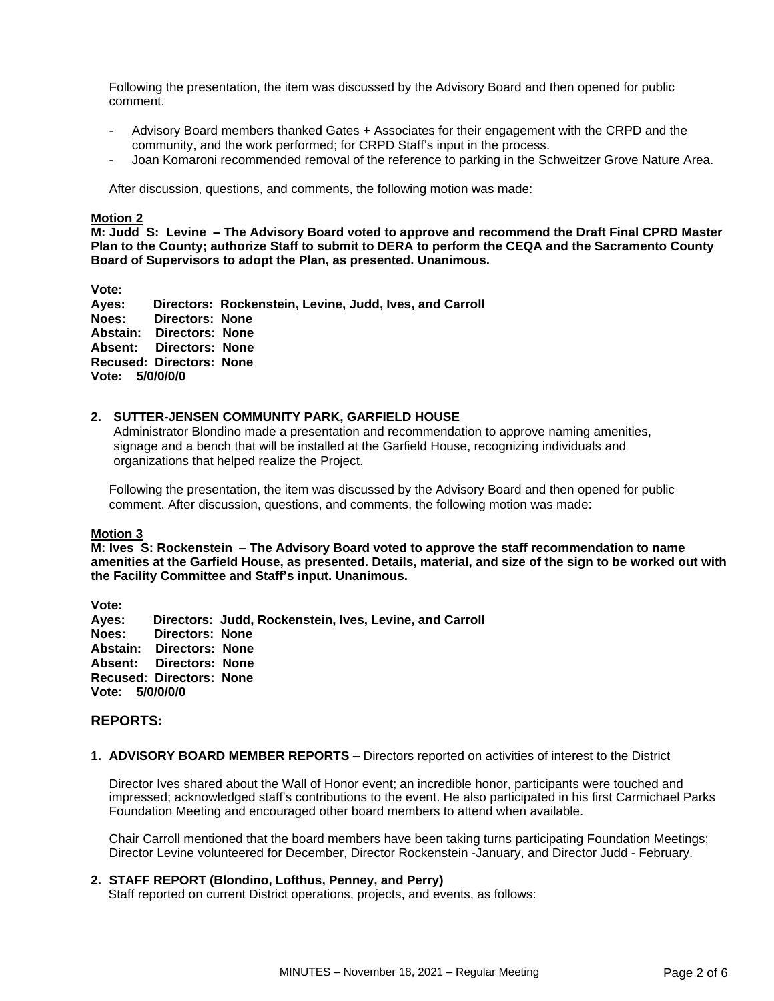Following the presentation, the item was discussed by the Advisory Board and then opened for public comment.

- Advisory Board members thanked Gates + Associates for their engagement with the CRPD and the community, and the work performed; for CRPD Staff's input in the process.
- Joan Komaroni recommended removal of the reference to parking in the Schweitzer Grove Nature Area.

After discussion, questions, and comments, the following motion was made:

#### **Motion 2**

**M: Judd S: Levine – The Advisory Board voted to approve and recommend the Draft Final CPRD Master Plan to the County; authorize Staff to submit to DERA to perform the CEQA and the Sacramento County Board of Supervisors to adopt the Plan, as presented. Unanimous.** 

**Vote:** 

**Ayes: Directors: Rockenstein, Levine, Judd, Ives, and Carroll Noes: Directors: None Abstain: Directors: None Absent: Directors: None Recused: Directors: None Vote: 5/0/0/0/0**

#### **2. SUTTER-JENSEN COMMUNITY PARK, GARFIELD HOUSE**

Administrator Blondino made a presentation and recommendation to approve naming amenities, signage and a bench that will be installed at the Garfield House, recognizing individuals and organizations that helped realize the Project.

Following the presentation, the item was discussed by the Advisory Board and then opened for public comment. After discussion, questions, and comments, the following motion was made:

#### **Motion 3**

**M: Ives S: Rockenstein – The Advisory Board voted to approve the staff recommendation to name amenities at the Garfield House, as presented. Details, material, and size of the sign to be worked out with the Facility Committee and Staff's input. Unanimous.** 

**Vote: Ayes: Directors: Judd, Rockenstein, Ives, Levine, and Carroll Noes: Directors: None Abstain: Directors: None Absent: Directors: None Recused: Directors: None Vote: 5/0/0/0/0**

#### **REPORTS:**

**1. ADVISORY BOARD MEMBER REPORTS –** Directors reported on activities of interest to the District

Director Ives shared about the Wall of Honor event; an incredible honor, participants were touched and impressed; acknowledged staff's contributions to the event. He also participated in his first Carmichael Parks Foundation Meeting and encouraged other board members to attend when available.

Chair Carroll mentioned that the board members have been taking turns participating Foundation Meetings; Director Levine volunteered for December, Director Rockenstein -January, and Director Judd - February.

#### **2. STAFF REPORT (Blondino, Lofthus, Penney, and Perry)**

Staff reported on current District operations, projects, and events, as follows: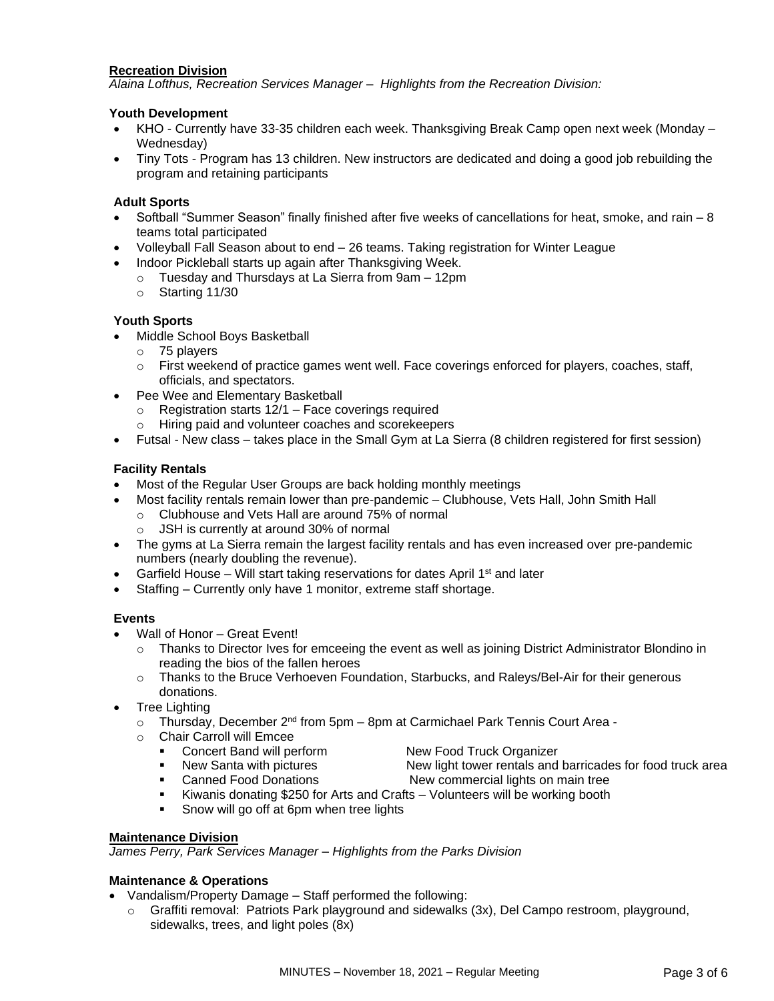## **Recreation Division**

*Alaina Lofthus, Recreation Services Manager – Highlights from the Recreation Division:*

## **Youth Development**

- KHO Currently have 33-35 children each week. Thanksgiving Break Camp open next week (Monday Wednesday)
- Tiny Tots Program has 13 children. New instructors are dedicated and doing a good job rebuilding the program and retaining participants

## **Adult Sports**

- Softball "Summer Season" finally finished after five weeks of cancellations for heat, smoke, and rain 8 teams total participated
- Volleyball Fall Season about to end 26 teams. Taking registration for Winter League
- Indoor Pickleball starts up again after Thanksgiving Week.
	- o Tuesday and Thursdays at La Sierra from 9am 12pm
	- o Starting 11/30

## **Youth Sports**

- Middle School Boys Basketball
	- o 75 players
	- o First weekend of practice games went well. Face coverings enforced for players, coaches, staff, officials, and spectators.
- Pee Wee and Elementary Basketball
	- o Registration starts 12/1 Face coverings required
	- o Hiring paid and volunteer coaches and scorekeepers
- Futsal New class takes place in the Small Gym at La Sierra (8 children registered for first session)

# **Facility Rentals**

- Most of the Regular User Groups are back holding monthly meetings
- Most facility rentals remain lower than pre-pandemic Clubhouse, Vets Hall, John Smith Hall
	- o Clubhouse and Vets Hall are around 75% of normal
	- o JSH is currently at around 30% of normal
- The gyms at La Sierra remain the largest facility rentals and has even increased over pre-pandemic numbers (nearly doubling the revenue).
- Garfield House Will start taking reservations for dates April 1<sup>st</sup> and later
- Staffing Currently only have 1 monitor, extreme staff shortage.

# **Events**

- Wall of Honor Great Event!
	- $\circ$  Thanks to Director Ives for emceeing the event as well as joining District Administrator Blondino in reading the bios of the fallen heroes
	- o Thanks to the Bruce Verhoeven Foundation, Starbucks, and Raleys/Bel-Air for their generous donations.
- **Tree Lighting** 
	- $\circ$  Thursday, December 2<sup>nd</sup> from 5pm 8pm at Carmichael Park Tennis Court Area -
	- o Chair Carroll will Emcee
		-
- 
- **•** Concert Band will perform New Food Truck Organizer<br>• New Santa with pictures New light tower rentals and
	- New light tower rentals and barricades for food truck area
- Canned Food Donations New commercial lights on main tree
	- Kiwanis donating \$250 for Arts and Crafts Volunteers will be working booth
- **•** Snow will go off at 6pm when tree lights

### **Maintenance Division**

*James Perry, Park Services Manager – Highlights from the Parks Division*

### **Maintenance & Operations**

- Vandalism/Property Damage Staff performed the following:
	- o Graffiti removal: Patriots Park playground and sidewalks (3x), Del Campo restroom, playground, sidewalks, trees, and light poles (8x)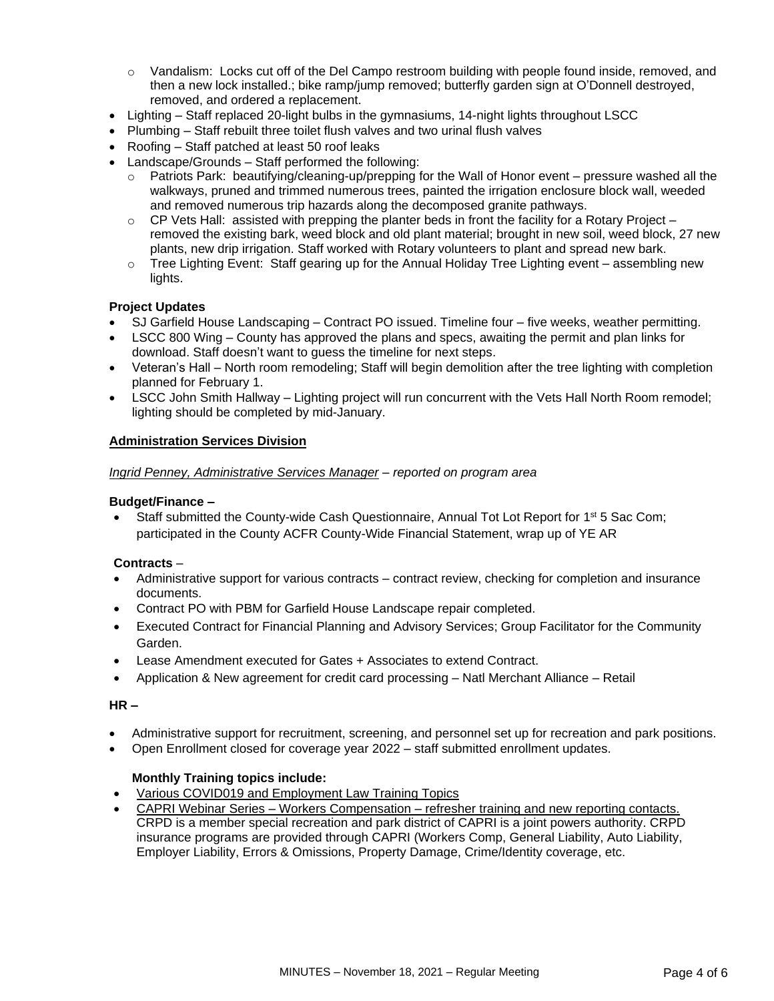- $\circ$  Vandalism: Locks cut off of the Del Campo restroom building with people found inside, removed, and then a new lock installed.; bike ramp/jump removed; butterfly garden sign at O'Donnell destroyed, removed, and ordered a replacement.
- Lighting Staff replaced 20-light bulbs in the gymnasiums, 14-night lights throughout LSCC
- Plumbing Staff rebuilt three toilet flush valves and two urinal flush valves
- Roofing Staff patched at least 50 roof leaks
- Landscape/Grounds Staff performed the following:
	- $\circ$  Patriots Park: beautifying/cleaning-up/prepping for the Wall of Honor event pressure washed all the walkways, pruned and trimmed numerous trees, painted the irrigation enclosure block wall, weeded and removed numerous trip hazards along the decomposed granite pathways.
	- $\circ$  CP Vets Hall: assisted with prepping the planter beds in front the facility for a Rotary Project removed the existing bark, weed block and old plant material; brought in new soil, weed block, 27 new plants, new drip irrigation. Staff worked with Rotary volunteers to plant and spread new bark.
	- $\circ$  Tree Lighting Event: Staff gearing up for the Annual Holiday Tree Lighting event assembling new lights.

# **Project Updates**

- SJ Garfield House Landscaping Contract PO issued. Timeline four five weeks, weather permitting.
- LSCC 800 Wing County has approved the plans and specs, awaiting the permit and plan links for download. Staff doesn't want to guess the timeline for next steps.
- Veteran's Hall North room remodeling; Staff will begin demolition after the tree lighting with completion planned for February 1.
- LSCC John Smith Hallway Lighting project will run concurrent with the Vets Hall North Room remodel; lighting should be completed by mid-January.

# **Administration Services Division**

## *Ingrid Penney, Administrative Services Manager – reported on program area*

## **Budget/Finance –**

Staff submitted the County-wide Cash Questionnaire, Annual Tot Lot Report for 1<sup>st</sup> 5 Sac Com; participated in the County ACFR County-Wide Financial Statement, wrap up of YE AR

# **Contracts** –

- Administrative support for various contracts contract review, checking for completion and insurance documents.
- Contract PO with PBM for Garfield House Landscape repair completed.
- Executed Contract for Financial Planning and Advisory Services; Group Facilitator for the Community Garden.
- Lease Amendment executed for Gates + Associates to extend Contract.
- Application & New agreement for credit card processing Natl Merchant Alliance Retail

### **HR –**

- Administrative support for recruitment, screening, and personnel set up for recreation and park positions.
- Open Enrollment closed for coverage year 2022 staff submitted enrollment updates.

# **Monthly Training topics include:**

- Various COVID019 and Employment Law Training Topics
- CAPRI Webinar Series Workers Compensation refresher training and new reporting contacts. CRPD is a member special recreation and park district of CAPRI is a joint powers authority. CRPD insurance programs are provided through CAPRI (Workers Comp, General Liability, Auto Liability, Employer Liability, Errors & Omissions, Property Damage, Crime/Identity coverage, etc.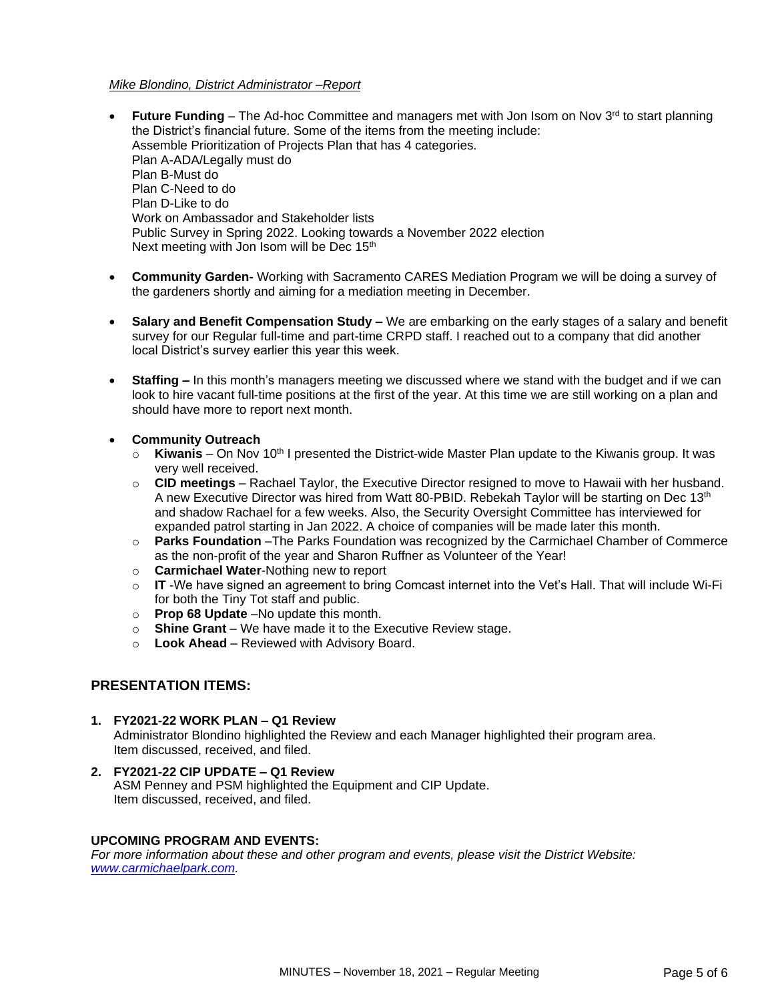### *Mike Blondino, District Administrator –Report*

- **Future Funding** The Ad-hoc Committee and managers met with Jon Isom on Nov 3rd to start planning the District's financial future. Some of the items from the meeting include: Assemble Prioritization of Projects Plan that has 4 categories. Plan A-ADA/Legally must do Plan B-Must do Plan C-Need to do Plan D-Like to do Work on Ambassador and Stakeholder lists Public Survey in Spring 2022. Looking towards a November 2022 election Next meeting with Jon Isom will be Dec 15<sup>th</sup>
- **Community Garden-** Working with Sacramento CARES Mediation Program we will be doing a survey of the gardeners shortly and aiming for a mediation meeting in December.
- **Salary and Benefit Compensation Study –** We are embarking on the early stages of a salary and benefit survey for our Regular full-time and part-time CRPD staff. I reached out to a company that did another local District's survey earlier this year this week.
- **Staffing –** In this month's managers meeting we discussed where we stand with the budget and if we can look to hire vacant full-time positions at the first of the year. At this time we are still working on a plan and should have more to report next month.
- **Community Outreach**
	- $\circ$  **Kiwanis** On Nov 10<sup>th</sup> I presented the District-wide Master Plan update to the Kiwanis group. It was very well received.
	- o **CID meetings**  Rachael Taylor, the Executive Director resigned to move to Hawaii with her husband. A new Executive Director was hired from Watt 80-PBID. Rebekah Taylor will be starting on Dec 13th and shadow Rachael for a few weeks. Also, the Security Oversight Committee has interviewed for expanded patrol starting in Jan 2022. A choice of companies will be made later this month.
	- o **Parks Foundation** –The Parks Foundation was recognized by the Carmichael Chamber of Commerce as the non-profit of the year and Sharon Ruffner as Volunteer of the Year!
	- o **Carmichael Water**-Nothing new to report
	- o **IT** -We have signed an agreement to bring Comcast internet into the Vet's Hall. That will include Wi-Fi for both the Tiny Tot staff and public.
	- o **Prop 68 Update** –No update this month.
	- o **Shine Grant**  We have made it to the Executive Review stage.
	- o **Look Ahead**  Reviewed with Advisory Board.

## **PRESENTATION ITEMS:**

#### **1. FY2021-22 WORK PLAN – Q1 Review**

Administrator Blondino highlighted the Review and each Manager highlighted their program area. Item discussed, received, and filed.

**2. FY2021-22 CIP UPDATE – Q1 Review** ASM Penney and PSM highlighted the Equipment and CIP Update. Item discussed, received, and filed.

### **UPCOMING PROGRAM AND EVENTS:**

*For more information about these and other program and events, please visit the District Website: [www.carmichaelpark.com.](http://www.carmichaelpark.com/)*